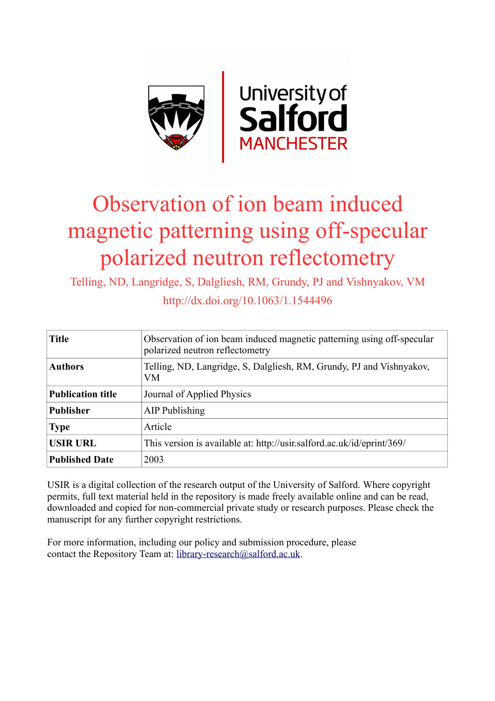

# Observation of ion beam induced magnetic patterning using off-specular polarized neutron reflectometry

Telling, ND, Langridge, S, Dalgliesh, RM, Grundy, PJ and Vishnyakov, VM  $\frac{1}{4}$ 

| http://dx.d01.0rg/10.1063/1.1544496 |
|-------------------------------------|
|                                     |

| <b>Title</b>             | Observation of ion beam induced magnetic patterning using off-specular<br>polarized neutron reflectometry |
|--------------------------|-----------------------------------------------------------------------------------------------------------|
| <b>Authors</b>           | Telling, ND, Langridge, S, Dalgliesh, RM, Grundy, PJ and Vishnyakov,<br>VM                                |
| <b>Publication title</b> | Journal of Applied Physics                                                                                |
| <b>Publisher</b>         | AIP Publishing                                                                                            |
| <b>Type</b>              | Article                                                                                                   |
| <b>USIR URL</b>          | This version is available at: http://usir.salford.ac.uk/id/eprint/369/                                    |
| <b>Published Date</b>    | 2003                                                                                                      |

USIR is a digital collection of the research output of the University of Salford. Where copyright permits, full text material held in the repository is made freely available online and can be read, downloaded and copied for non-commercial private study or research purposes. Please check the manuscript for any further copyright restrictions.

For more information, including our policy and submission procedure, please contact the Repository Team at: [library-research@salford.ac.uk.](mailto:library-research@salford.ac.uk)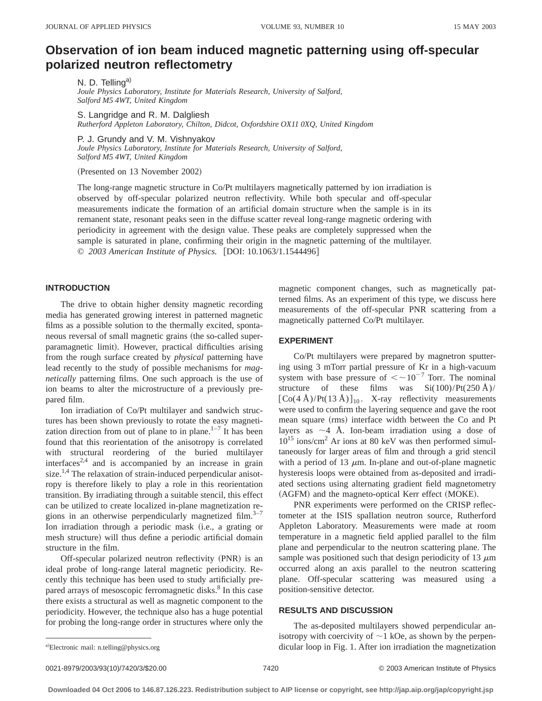# **Observation of ion beam induced magnetic patterning using off-specular polarized neutron reflectometry**

N. D. Telling<sup>a)</sup> *Joule Physics Laboratory, Institute for Materials Research, University of Salford, Salford M5 4WT, United Kingdom*

S. Langridge and R. M. Dalgliesh *Rutherford Appleton Laboratory, Chilton, Didcot, Oxfordshire OX11 0XQ, United Kingdom*

P. J. Grundy and V. M. Vishnyakov

*Joule Physics Laboratory, Institute for Materials Research, University of Salford, Salford M5 4WT, United Kingdom*

(Presented on 13 November 2002)

The long-range magnetic structure in Co/Pt multilayers magnetically patterned by ion irradiation is observed by off-specular polarized neutron reflectivity. While both specular and off-specular measurements indicate the formation of an artificial domain structure when the sample is in its remanent state, resonant peaks seen in the diffuse scatter reveal long-range magnetic ordering with periodicity in agreement with the design value. These peaks are completely suppressed when the sample is saturated in plane, confirming their origin in the magnetic patterning of the multilayer. © 2003 American Institute of Physics. [DOI: 10.1063/1.1544496]

## **INTRODUCTION**

The drive to obtain higher density magnetic recording media has generated growing interest in patterned magnetic films as a possible solution to the thermally excited, spontaneous reversal of small magnetic grains (the so-called superparamagnetic limit). However, practical difficulties arising from the rough surface created by *physical* patterning have lead recently to the study of possible mechanisms for *magnetically* patterning films. One such approach is the use of ion beams to alter the microstructure of a previously prepared film.

Ion irradiation of Co/Pt multilayer and sandwich structures has been shown previously to rotate the easy magnetization direction from out of plane to in plane. $1-7$  It has been found that this reorientation of the anisotropy is correlated with structural reordering of the buried multilayer interfaces<sup>2,4</sup> and is accompanied by an increase in grain size.<sup>1,4</sup> The relaxation of strain-induced perpendicular anisotropy is therefore likely to play a role in this reorientation transition. By irradiating through a suitable stencil, this effect can be utilized to create localized in-plane magnetization regions in an otherwise perpendicularly magnetized film. $3-7$ Ion irradiation through a periodic mask (i.e., a grating or mesh structure) will thus define a periodic artificial domain structure in the film.

Off-specular polarized neutron reflectivity (PNR) is an ideal probe of long-range lateral magnetic periodicity. Recently this technique has been used to study artificially prepared arrays of mesoscopic ferromagnetic disks.<sup>8</sup> In this case there exists a structural as well as magnetic component to the periodicity. However, the technique also has a huge potential for probing the long-range order in structures where only the magnetic component changes, such as magnetically patterned films. As an experiment of this type, we discuss here measurements of the off-specular PNR scattering from a magnetically patterned Co/Pt multilayer.

#### **EXPERIMENT**

Co/Pt multilayers were prepared by magnetron sputtering using 3 mTorr partial pressure of Kr in a high-vacuum system with base pressure of  $\leq$   $\sim$  10<sup>-7</sup> Torr. The nominal structure of these films was  $Si(100)/Pt(250 \text{ Å})/$  $[Co(4 \text{ Å})/Pt(13 \text{ Å})]_{10}$ . X-ray reflectivity measurements were used to confirm the layering sequence and gave the root mean square (rms) interface width between the Co and Pt layers as  $\sim$ 4 Å. Ion-beam irradiation using a dose of  $10^{15}$  ions/cm<sup>2</sup> Ar ions at 80 keV was then performed simultaneously for larger areas of film and through a grid stencil with a period of 13  $\mu$ m. In-plane and out-of-plane magnetic hysteresis loops were obtained from as-deposited and irradiated sections using alternating gradient field magnetometry (AGFM) and the magneto-optical Kerr effect (MOKE).

PNR experiments were performed on the CRISP reflectometer at the ISIS spallation neutron source, Rutherford Appleton Laboratory. Measurements were made at room temperature in a magnetic field applied parallel to the film plane and perpendicular to the neutron scattering plane. The sample was positioned such that design periodicity of 13  $\mu$ m occurred along an axis parallel to the neutron scattering plane. Off-specular scattering was measured using a position-sensitive detector.

#### **RESULTS AND DISCUSSION**

The as-deposited multilayers showed perpendicular anisotropy with coercivity of  $\sim$ 1 kOe, as shown by the perpendicular loop in Fig. 1. After ion irradiation the magnetization

a)Electronic mail: n.telling@physics.org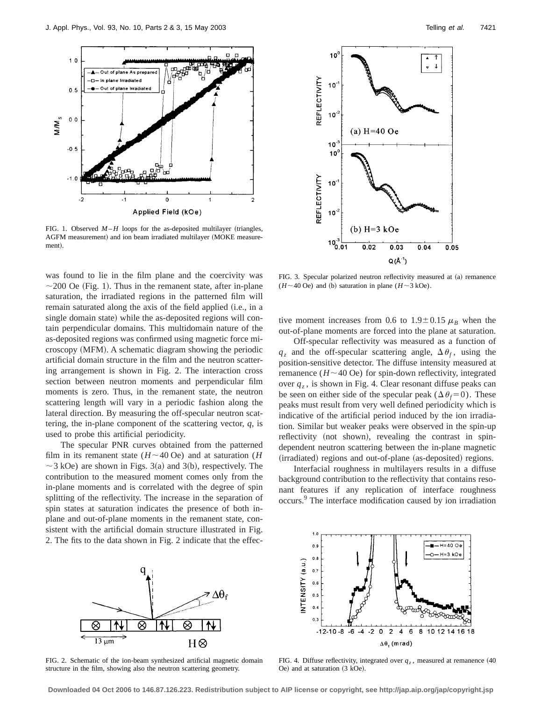

FIG. 1. Observed  $M-H$  loops for the as-deposited multilayer (triangles, AGFM measurement) and ion beam irradiated multilayer (MOKE measurement).

was found to lie in the film plane and the coercivity was  $\sim$ 200 Oe (Fig. 1). Thus in the remanent state, after in-plane saturation, the irradiated regions in the patterned film will remain saturated along the axis of the field applied (i.e., in a single domain state) while the as-deposited regions will contain perpendicular domains. This multidomain nature of the as-deposited regions was confirmed using magnetic force microscopy (MFM). A schematic diagram showing the periodic artificial domain structure in the film and the neutron scattering arrangement is shown in Fig. 2. The interaction cross section between neutron moments and perpendicular film moments is zero. Thus, in the remanent state, the neutron scattering length will vary in a periodic fashion along the lateral direction. By measuring the off-specular neutron scattering, the in-plane component of the scattering vector, *q*, is used to probe this artificial periodicity.

The specular PNR curves obtained from the patterned film in its remanent state  $(H \sim 40 \text{ Oe})$  and at saturation  $(H$  $\sim$  3 kOe) are shown in Figs. 3(a) and 3(b), respectively. The contribution to the measured moment comes only from the in-plane moments and is correlated with the degree of spin splitting of the reflectivity. The increase in the separation of spin states at saturation indicates the presence of both inplane and out-of-plane moments in the remanent state, consistent with the artificial domain structure illustrated in Fig. 2. The fits to the data shown in Fig. 2 indicate that the effec-



FIG. 2. Schematic of the ion-beam synthesized artificial magnetic domain structure in the film, showing also the neutron scattering geometry.



FIG. 3. Specular polarized neutron reflectivity measured at (a) remanence  $(H \sim 40$  Oe) and (b) saturation in plane  $(H \sim 3$  kOe).

tive moment increases from 0.6 to  $1.9 \pm 0.15 \mu_B$  when the out-of-plane moments are forced into the plane at saturation.

Off-specular reflectivity was measured as a function of  $q_z$  and the off-specular scattering angle,  $\Delta \theta_f$ , using the position-sensitive detector. The diffuse intensity measured at remanence  $(H \sim 40 \text{ Oe})$  for spin-down reflectivity, integrated over  $q_z$ , is shown in Fig. 4. Clear resonant diffuse peaks can be seen on either side of the specular peak ( $\Delta \theta_f = 0$ ). These peaks must result from very well defined periodicity which is indicative of the artificial period induced by the ion irradiation. Similar but weaker peaks were observed in the spin-up reflectivity (not shown), revealing the contrast in spindependent neutron scattering between the in-plane magnetic (irradiated) regions and out-of-plane (as-deposited) regions.

Interfacial roughness in multilayers results in a diffuse background contribution to the reflectivity that contains resonant features if any replication of interface roughness occurs.9 The interface modification caused by ion irradiation



FIG. 4. Diffuse reflectivity, integrated over  $q_z$ , measured at remanence (40)  $Oe$  and at saturation  $(3 kOe)$ .

**Downloaded 04 Oct 2006 to 146.87.126.223. Redistribution subject to AIP license or copyright, see http://jap.aip.org/jap/copyright.jsp**